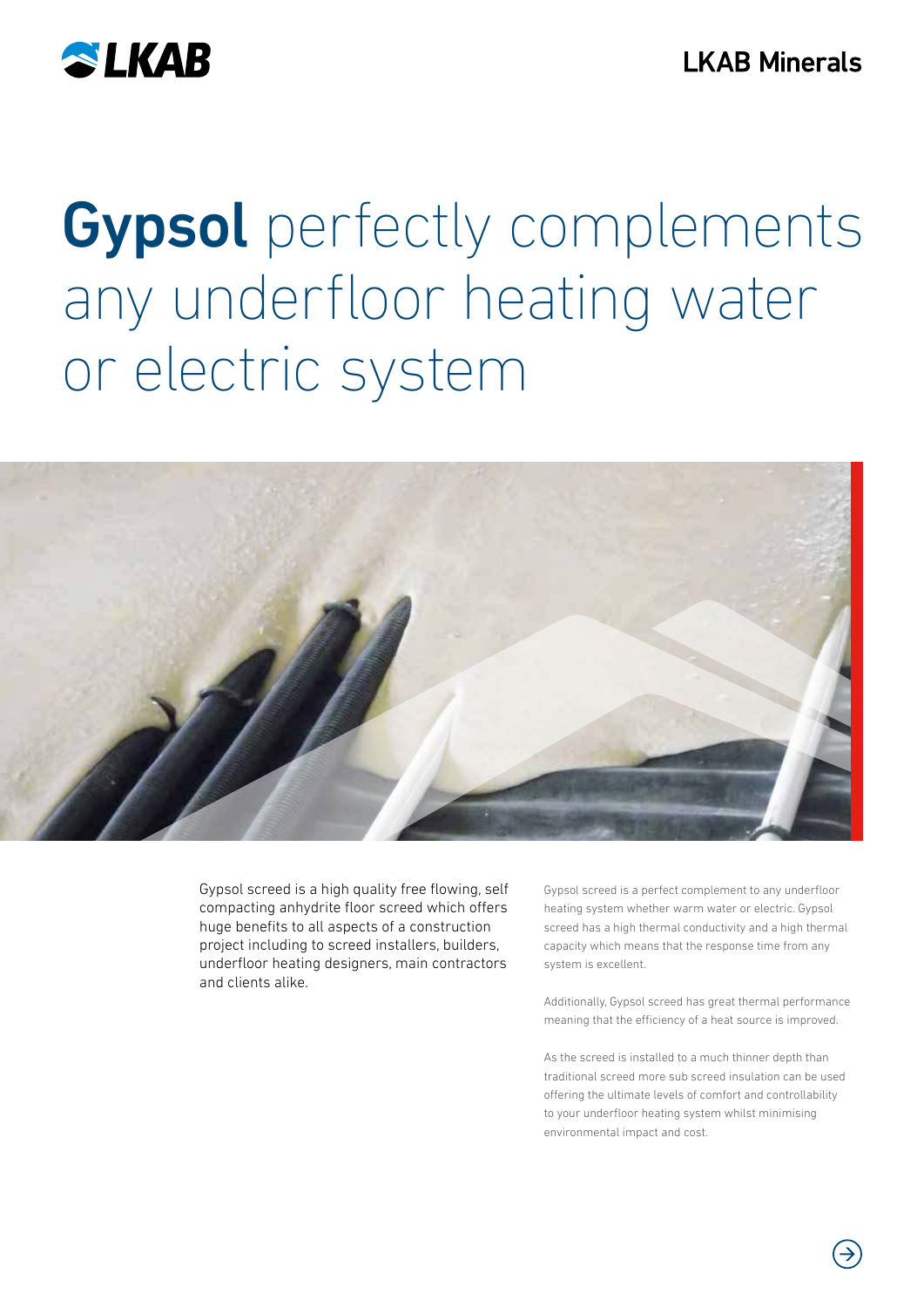

# Gypsol perfectly complements any underfloor heating water or electric system



Gypsol screed is a high quality free flowing, self compacting anhydrite floor screed which offers huge benefits to all aspects of a construction project including to screed installers, builders, underfloor heating designers, main contractors and clients alike.

Gypsol screed is a perfect complement to any underfloor heating system whether warm water or electric. Gypsol screed has a high thermal conductivity and a high thermal capacity which means that the response time from any system is excellent.

Additionally, Gypsol screed has great thermal performance meaning that the efficiency of a heat source is improved.

As the screed is installed to a much thinner depth than traditional screed more sub screed insulation can be used offering the ultimate levels of comfort and controllability to your underfloor heating system whilst minimising environmental impact and cost.